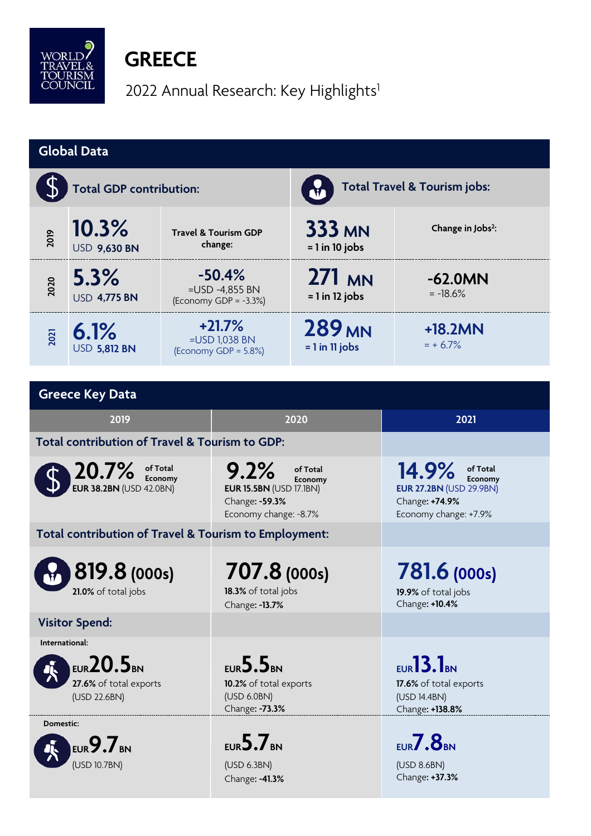

## **GREECE**

2022 Annual Research: Key Highlights<sup>1</sup>

| <b>Global Data</b>                                                                 |                              |                                                        |                                                                                                          |                                   |                                                                                                           |  |  |  |
|------------------------------------------------------------------------------------|------------------------------|--------------------------------------------------------|----------------------------------------------------------------------------------------------------------|-----------------------------------|-----------------------------------------------------------------------------------------------------------|--|--|--|
|                                                                                    | Total GDP contribution:      |                                                        |                                                                                                          | Total Travel & Tourism jobs:      |                                                                                                           |  |  |  |
| 2019                                                                               | 10.3%<br><b>USD 9,630 BN</b> | <b>Travel &amp; Tourism GDP</b><br>change:             |                                                                                                          | <b>333 MN</b><br>$= 1$ in 10 jobs | Change in Jobs <sup>2</sup> :                                                                             |  |  |  |
| 2020                                                                               | 5.3%<br><b>USD 4,775 BN</b>  | $-50.4%$<br>=USD -4,855 BN<br>(Economy GDP = $-3.3%$ ) |                                                                                                          | 271 MN<br>$= 1$ in 12 jobs        | $-62.0MN$<br>$= -18.6%$                                                                                   |  |  |  |
| 2021                                                                               | 6.1%<br><b>USD 5,812 BN</b>  | $+21.7%$<br>$=$ USD 1,038 BN<br>(Economy GDP = 5.8%)   |                                                                                                          | <b>289 MN</b><br>$= 1$ in 11 jobs | +18.2MN<br>$= + 6.7%$                                                                                     |  |  |  |
|                                                                                    |                              |                                                        |                                                                                                          |                                   |                                                                                                           |  |  |  |
|                                                                                    | <b>Greece Key Data</b>       |                                                        |                                                                                                          |                                   |                                                                                                           |  |  |  |
| 2019                                                                               |                              |                                                        | 2020                                                                                                     |                                   | 2021                                                                                                      |  |  |  |
| Total contribution of Travel & Tourism to GDP:                                     |                              |                                                        |                                                                                                          |                                   |                                                                                                           |  |  |  |
| 20.7%<br>of Total<br>Economy<br><b>EUR 38.2BN (USD 42.0BN)</b>                     |                              |                                                        | 9.2%<br>of Total<br>Economy<br><b>EUR 15.5BN (USD 17.1BN)</b><br>Change: -59.3%<br>Economy change: -8.7% |                                   | 14.9%<br>of Total<br>Economy<br><b>EUR 27.2BN (USD 29.9BN)</b><br>Change: +74.9%<br>Economy change: +7.9% |  |  |  |
| Total contribution of Travel & Tourism to Employment:                              |                              |                                                        |                                                                                                          |                                   |                                                                                                           |  |  |  |
| 819.8 (000s)<br>21.0% of total jobs                                                |                              |                                                        | 707.8 (000s)<br>18.3% of total jobs<br>Change: -13.7%                                                    |                                   | 781.6 (000s)<br>19.9% of total jobs<br>Change: +10.4%                                                     |  |  |  |
|                                                                                    | <b>Visitor Spend:</b>        |                                                        |                                                                                                          |                                   |                                                                                                           |  |  |  |
| International:<br>EUR <sub>20.5</sub> BN<br>27.6% of total exports<br>(USD 22.6BN) |                              |                                                        | EUR $5.5_{\text{\tiny{BN}}}$<br>10.2% of total exports<br>(USD 6.0BN)<br>Change: -73.3%                  |                                   | $EUR}$ 13.1 $BNR$<br>17.6% of total exports<br>(USD 14.4BN)<br>Change: +138.8%                            |  |  |  |
| Domestic:                                                                          | EUR $9.7$ BN<br>(USD 10.7BN) |                                                        | EUR $5.7$ BN<br>(USD 6.3BN)<br>Change: -41.3%                                                            |                                   | EUR7.8BN<br>(USD 8.6BN)<br>Change: +37.3%                                                                 |  |  |  |